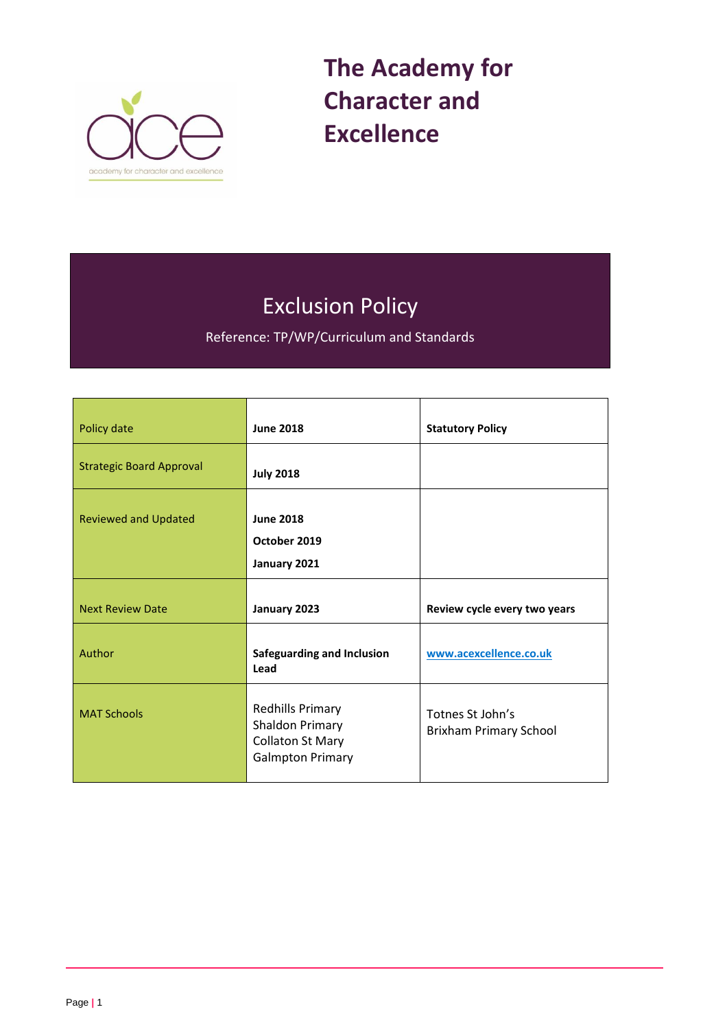

**The Academy for Character and Excellence** 

# Exclusion Policy

Reference: TP/WP/Curriculum and Standards

| Policy date                     | <b>June 2018</b>                                                                                        | <b>Statutory Policy</b>                           |
|---------------------------------|---------------------------------------------------------------------------------------------------------|---------------------------------------------------|
| <b>Strategic Board Approval</b> | <b>July 2018</b>                                                                                        |                                                   |
| <b>Reviewed and Updated</b>     | <b>June 2018</b><br>October 2019<br>January 2021                                                        |                                                   |
| <b>Next Review Date</b>         | January 2023                                                                                            | Review cycle every two years                      |
| Author                          | <b>Safeguarding and Inclusion</b><br>Lead                                                               | www.acexcellence.co.uk                            |
| <b>MAT Schools</b>              | <b>Redhills Primary</b><br><b>Shaldon Primary</b><br><b>Collaton St Mary</b><br><b>Galmpton Primary</b> | Totnes St John's<br><b>Brixham Primary School</b> |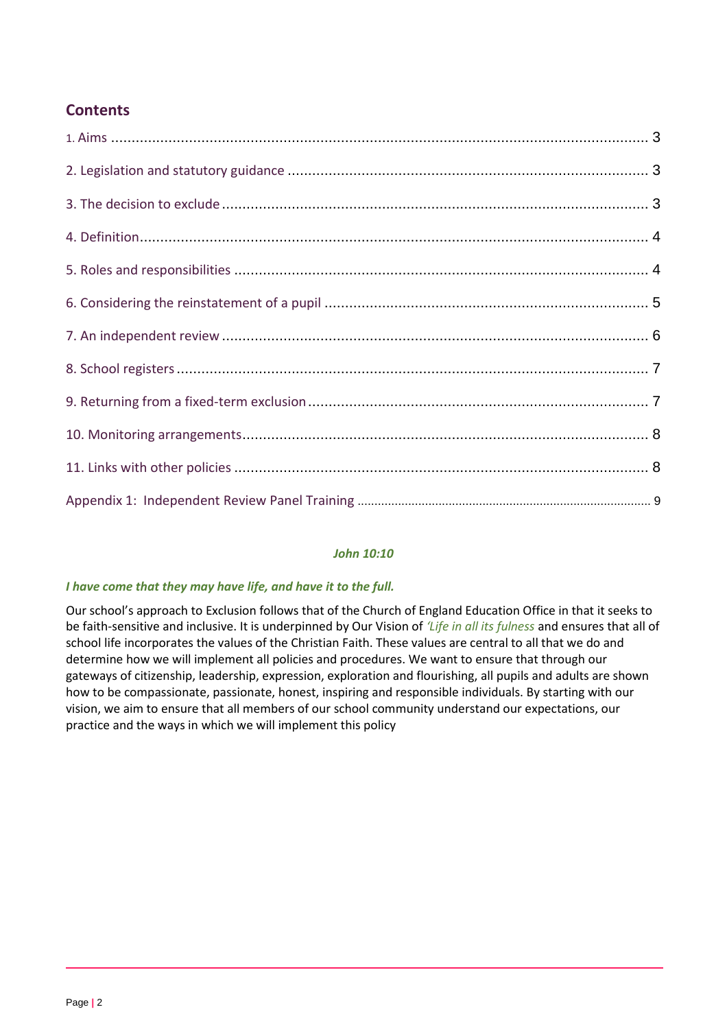# **Contents**

## *John 10:10*

## *I have come that they may have life, and have it to the full.*

Our school's approach to Exclusion follows that of the Church of England Education Office in that it seeks to be faith-sensitive and inclusive. It is underpinned by Our Vision of *'Life in all its fulness* and ensures that all of school life incorporates the values of the Christian Faith. These values are central to all that we do and determine how we will implement all policies and procedures. We want to ensure that through our gateways of citizenship, leadership, expression, exploration and flourishing, all pupils and adults are shown how to be compassionate, passionate, honest, inspiring and responsible individuals. By starting with our vision, we aim to ensure that all members of our school community understand our expectations, our practice and the ways in which we will implement this policy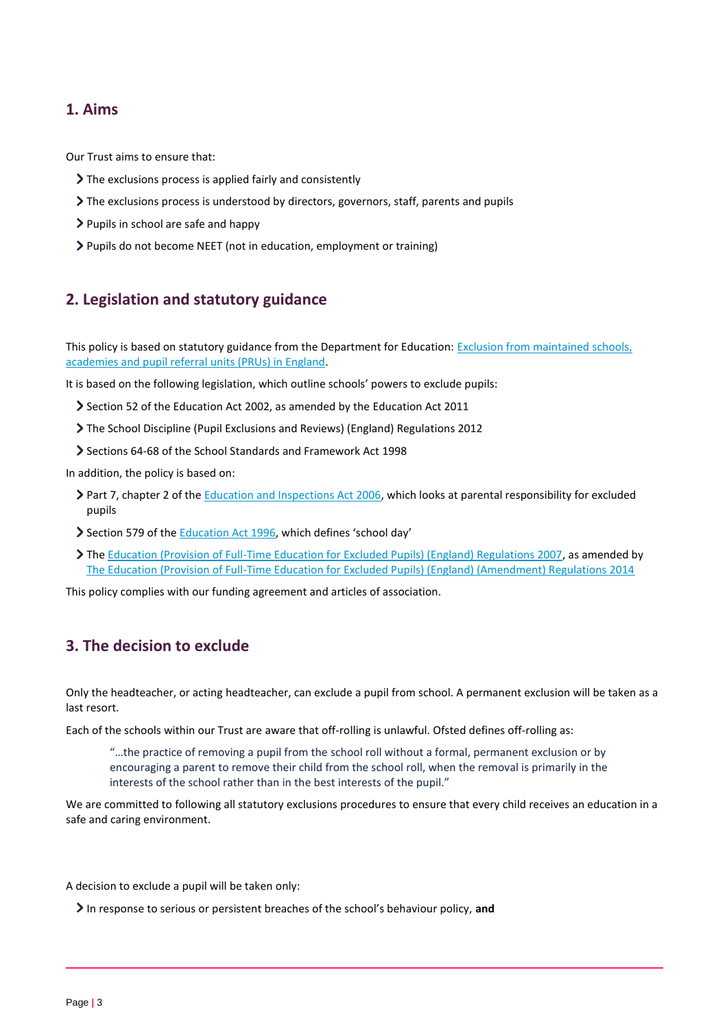## **1. Aims**

Our Trust aims to ensure that:

- The exclusions process is applied fairly and consistently
- The exclusions process is understood by directors, governors, staff, parents and pupils
- Pupils in school are safe and happy
- Pupils do not become NEET (not in education, employment or training)

# **2. Legislation and statutory guidance**

This policy is based on statutory guidance from the Department for Education: Exclusion from maintained schools, [academies and pupil referral units \(PRUs\) in England.](https://www.gov.uk/government/publications/school-exclusion)

It is based on the following legislation, which outline schools' powers to exclude pupils:

- Section 52 of the [Education Act](http://www.legislation.gov.uk/ukpga/2002/32/section/52) 2002, as amended by the [Education Act 2011](http://www.legislation.gov.uk/ukpga/2011/21/contents/enacted)
- [The School Discipline \(Pupil Exclusions and Reviews\) \(England\) Regulations 2012](http://www.legislation.gov.uk/uksi/2012/1033/made)
- Sections 64-68 of the [School Standards and Framework Act 1998](http://www.legislation.gov.uk/ukpga/1998/31)

In addition, the policy is based on:

- > Part 7, chapter 2 of the [Education and Inspections Act 2006,](http://www.legislation.gov.uk/ukpga/2006/40/part/7/chapter/2) which looks at parental responsibility for excluded pupils
- Section 579 of the [Education Act 1996](http://www.legislation.gov.uk/ukpga/1996/56/section/579), which defines 'school day'
- The [Education \(Provision of Full-Time Education for Excluded Pupils\) \(England\) Regulations 2007,](http://www.legislation.gov.uk/uksi/2007/1870/contents/made) as amended by [The Education \(Provision of Full-Time Education for Excluded Pupils\) \(England\) \(Amendment\) Regulations 2014](http://www.legislation.gov.uk/uksi/2014/3216/contents/made)

This policy complies with our funding agreement and articles of association.

## **3. The decision to exclude**

Only the headteacher, or acting headteacher, can exclude a pupil from school. A permanent exclusion will be taken as a last resort.

Each of the schools within our Trust are aware that off-rolling is unlawful. Ofsted defines off-rolling as:

"…the practice of removing a pupil from the school roll without a formal, permanent exclusion or by encouraging a parent to remove their child from the school roll, when the removal is primarily in the interests of the school rather than in the best interests of the pupil."

We are committed to following all statutory exclusions procedures to ensure that every child receives an education in a safe and caring environment.

A decision to exclude a pupil will be taken only:

In response to serious or persistent breaches of the school's behaviour policy, **and**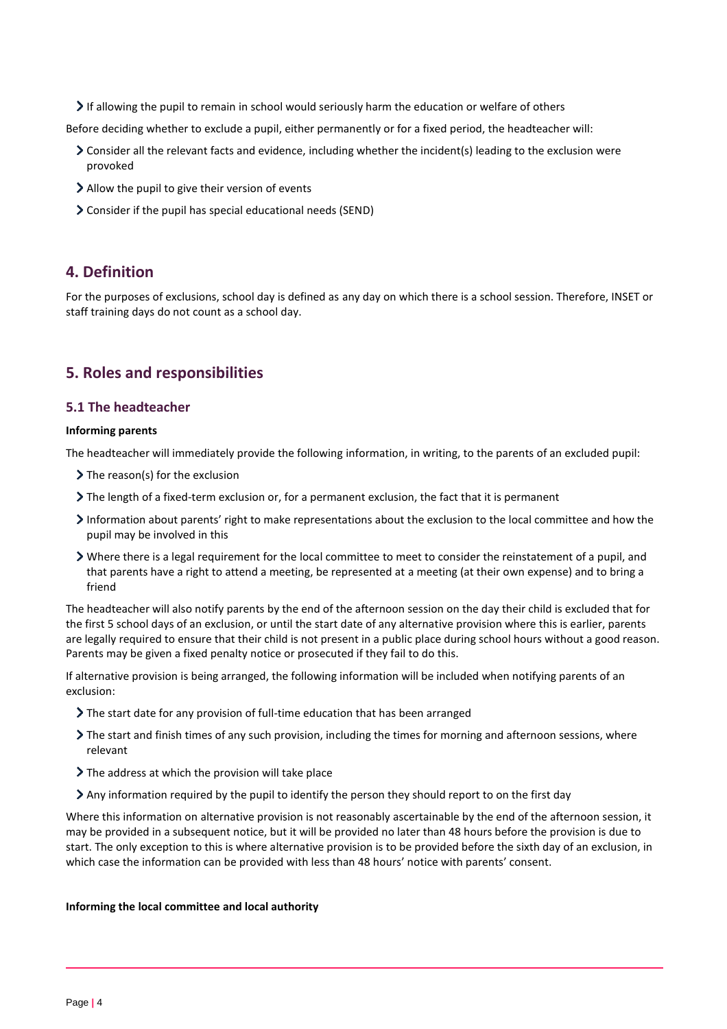If allowing the pupil to remain in school would seriously harm the education or welfare of others

Before deciding whether to exclude a pupil, either permanently or for a fixed period, the headteacher will:

- Consider all the relevant facts and evidence, including whether the incident(s) leading to the exclusion were provoked
- Allow the pupil to give their version of events
- Consider if the pupil has special educational needs (SEND)

## **4. Definition**

For the purposes of exclusions, school day is defined as any day on which there is a school session. Therefore, INSET or staff training days do not count as a school day.

# **5. Roles and responsibilities**

#### **5.1 The headteacher**

#### **Informing parents**

The headteacher will immediately provide the following information, in writing, to the parents of an excluded pupil:

- $\triangleright$  The reason(s) for the exclusion
- The length of a fixed-term exclusion or, for a permanent exclusion, the fact that it is permanent
- Information about parents' right to make representations about the exclusion to the local committee and how the pupil may be involved in this
- Where there is a legal requirement for the local committee to meet to consider the reinstatement of a pupil, and that parents have a right to attend a meeting, be represented at a meeting (at their own expense) and to bring a friend

The headteacher will also notify parents by the end of the afternoon session on the day their child is excluded that for the first 5 school days of an exclusion, or until the start date of any alternative provision where this is earlier, parents are legally required to ensure that their child is not present in a public place during school hours without a good reason. Parents may be given a fixed penalty notice or prosecuted if they fail to do this.

If alternative provision is being arranged, the following information will be included when notifying parents of an exclusion:

- The start date for any provision of full-time education that has been arranged
- The start and finish times of any such provision, including the times for morning and afternoon sessions, where relevant
- The address at which the provision will take place
- Any information required by the pupil to identify the person they should report to on the first day

Where this information on alternative provision is not reasonably ascertainable by the end of the afternoon session, it may be provided in a subsequent notice, but it will be provided no later than 48 hours before the provision is due to start. The only exception to this is where alternative provision is to be provided before the sixth day of an exclusion, in which case the information can be provided with less than 48 hours' notice with parents' consent.

#### **Informing the local committee and local authority**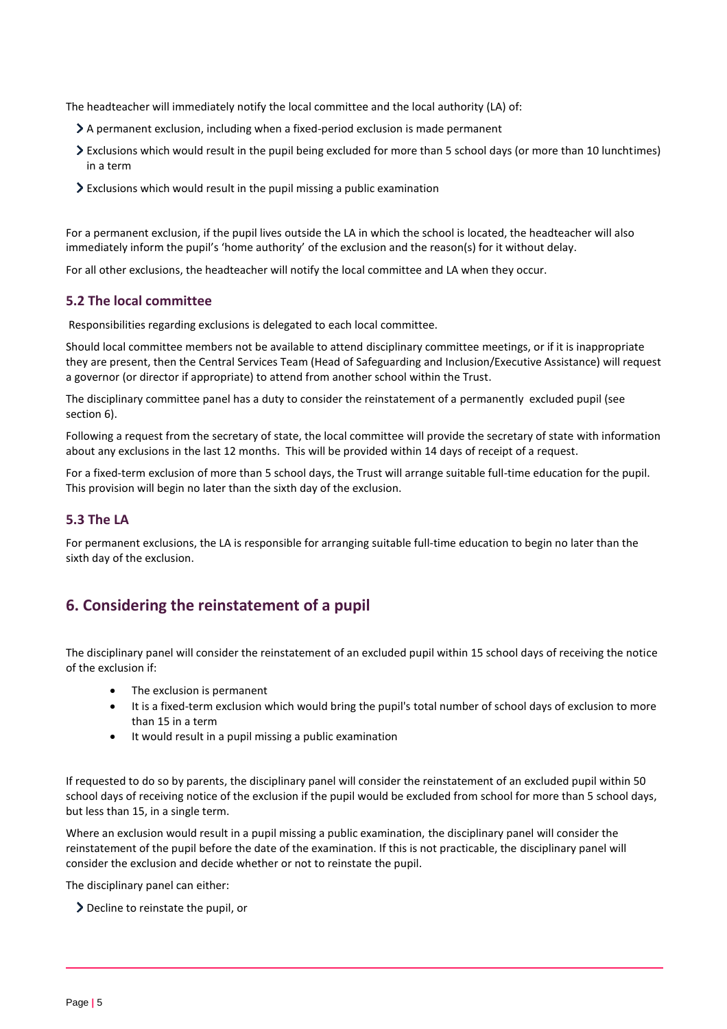The headteacher will immediately notify the local committee and the local authority (LA) of:

- A permanent exclusion, including when a fixed-period exclusion is made permanent
- Exclusions which would result in the pupil being excluded for more than 5 school days (or more than 10 lunchtimes) in a term
- $\geq$  Exclusions which would result in the pupil missing a public examination

For a permanent exclusion, if the pupil lives outside the LA in which the school is located, the headteacher will also immediately inform the pupil's 'home authority' of the exclusion and the reason(s) for it without delay.

For all other exclusions, the headteacher will notify the local committee and LA when they occur.

#### **5.2 The local committee**

Responsibilities regarding exclusions is delegated to each local committee.

Should local committee members not be available to attend disciplinary committee meetings, or if it is inappropriate they are present, then the Central Services Team (Head of Safeguarding and Inclusion/Executive Assistance) will request a governor (or director if appropriate) to attend from another school within the Trust.

The disciplinary committee panel has a duty to consider the reinstatement of a permanently excluded pupil (see section 6).

Following a request from the secretary of state, the local committee will provide the secretary of state with information about any exclusions in the last 12 months. This will be provided within 14 days of receipt of a request.

For a fixed-term exclusion of more than 5 school days, the Trust will arrange suitable full-time education for the pupil. This provision will begin no later than the sixth day of the exclusion.

#### **5.3 The LA**

For permanent exclusions, the LA is responsible for arranging suitable full-time education to begin no later than the sixth day of the exclusion.

# **6. Considering the reinstatement of a pupil**

The disciplinary panel will consider the reinstatement of an excluded pupil within 15 school days of receiving the notice of the exclusion if:

- The exclusion is permanent
- It is a fixed-term exclusion which would bring the pupil's total number of school days of exclusion to more than 15 in a term
- It would result in a pupil missing a public examination

If requested to do so by parents, the disciplinary panel will consider the reinstatement of an excluded pupil within 50 school days of receiving notice of the exclusion if the pupil would be excluded from school for more than 5 school days, but less than 15, in a single term.

Where an exclusion would result in a pupil missing a public examination, the disciplinary panel will consider the reinstatement of the pupil before the date of the examination. If this is not practicable, the disciplinary panel will consider the exclusion and decide whether or not to reinstate the pupil.

The disciplinary panel can either:

Decline to reinstate the pupil, or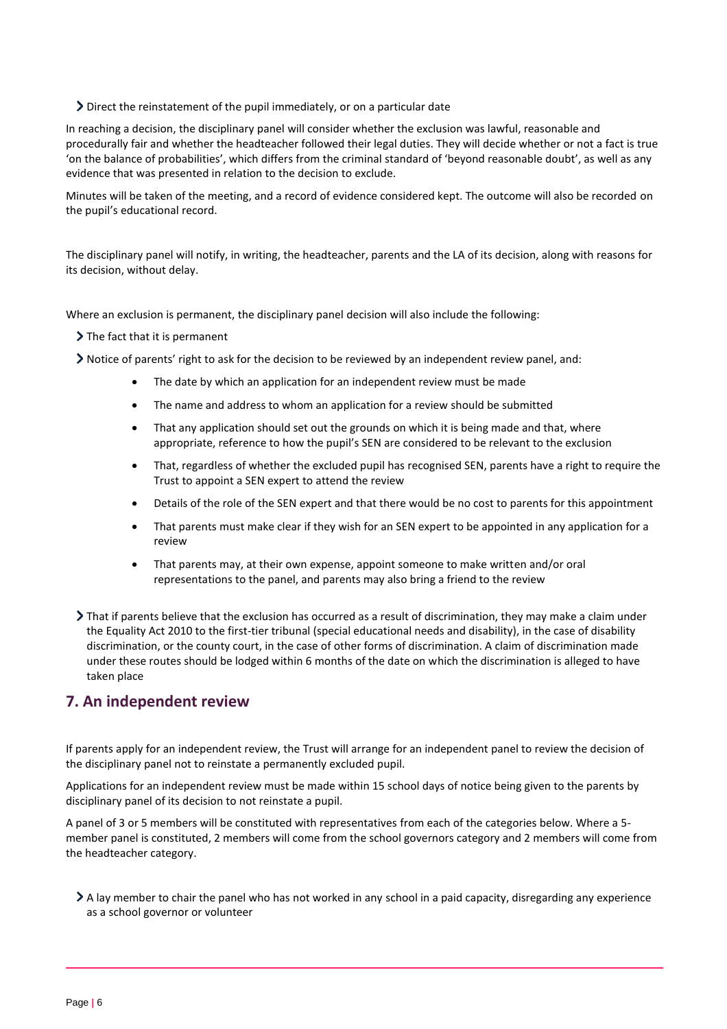#### Direct the reinstatement of the pupil immediately, or on a particular date

In reaching a decision, the disciplinary panel will consider whether the exclusion was lawful, reasonable and procedurally fair and whether the headteacher followed their legal duties. They will decide whether or not a fact is true 'on the balance of probabilities', which differs from the criminal standard of 'beyond reasonable doubt', as well as any evidence that was presented in relation to the decision to exclude.

Minutes will be taken of the meeting, and a record of evidence considered kept. The outcome will also be recorded on the pupil's educational record.

The disciplinary panel will notify, in writing, the headteacher, parents and the LA of its decision, along with reasons for its decision, without delay.

Where an exclusion is permanent, the disciplinary panel decision will also include the following:

 $\sum$  The fact that it is permanent

Notice of parents' right to ask for the decision to be reviewed by an independent review panel, and:

- The date by which an application for an independent review must be made
- The name and address to whom an application for a review should be submitted
- That any application should set out the grounds on which it is being made and that, where appropriate, reference to how the pupil's SEN are considered to be relevant to the exclusion
- That, regardless of whether the excluded pupil has recognised SEN, parents have a right to require the Trust to appoint a SEN expert to attend the review
- Details of the role of the SEN expert and that there would be no cost to parents for this appointment
- That parents must make clear if they wish for an SEN expert to be appointed in any application for a review
- That parents may, at their own expense, appoint someone to make written and/or oral representations to the panel, and parents may also bring a friend to the review
- That if parents believe that the exclusion has occurred as a result of discrimination, they may make a claim under the Equality Act 2010 to the first-tier tribunal (special educational needs and disability), in the case of disability discrimination, or the county court, in the case of other forms of discrimination. A claim of discrimination made under these routes should be lodged within 6 months of the date on which the discrimination is alleged to have taken place

# **7. An independent review**

If parents apply for an independent review, the Trust will arrange for an independent panel to review the decision of the disciplinary panel not to reinstate a permanently excluded pupil.

Applications for an independent review must be made within 15 school days of notice being given to the parents by disciplinary panel of its decision to not reinstate a pupil.

A panel of 3 or 5 members will be constituted with representatives from each of the categories below. Where a 5 member panel is constituted, 2 members will come from the school governors category and 2 members will come from the headteacher category.

A lay member to chair the panel who has not worked in any school in a paid capacity, disregarding any experience as a school governor or volunteer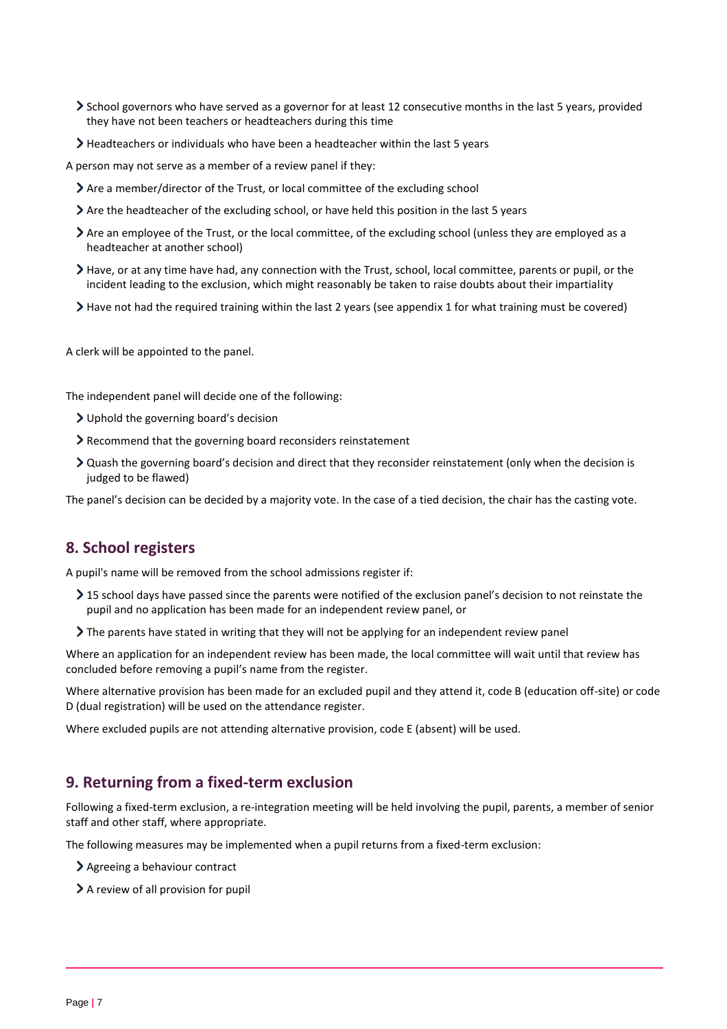- School governors who have served as a governor for at least 12 consecutive months in the last 5 years, provided they have not been teachers or headteachers during this time
- Headteachers or individuals who have been a headteacher within the last 5 years

A person may not serve as a member of a review panel if they:

- Are a member/director of the Trust, or local committee of the excluding school
- Are the headteacher of the excluding school, or have held this position in the last 5 years
- Are an employee of the Trust, or the local committee, of the excluding school (unless they are employed as a headteacher at another school)
- Have, or at any time have had, any connection with the Trust, school, local committee, parents or pupil, or the incident leading to the exclusion, which might reasonably be taken to raise doubts about their impartiality
- Have not had the required training within the last 2 years (see appendix 1 for what training must be covered)

A clerk will be appointed to the panel.

The independent panel will decide one of the following:

- Uphold the governing board's decision
- Recommend that the governing board reconsiders reinstatement
- Quash the governing board's decision and direct that they reconsider reinstatement (only when the decision is judged to be flawed)

The panel's decision can be decided by a majority vote. In the case of a tied decision, the chair has the casting vote.

# **8. School registers**

A pupil's name will be removed from the school admissions register if:

- > 15 school days have passed since the parents were notified of the exclusion panel's decision to not reinstate the pupil and no application has been made for an independent review panel, or
- The parents have stated in writing that they will not be applying for an independent review panel

Where an application for an independent review has been made, the local committee will wait until that review has concluded before removing a pupil's name from the register.

Where alternative provision has been made for an excluded pupil and they attend it, code B (education off-site) or code D (dual registration) will be used on the attendance register.

Where excluded pupils are not attending alternative provision, code E (absent) will be used.

## **9. Returning from a fixed-term exclusion**

Following a fixed-term exclusion, a re-integration meeting will be held involving the pupil, parents, a member of senior staff and other staff, where appropriate.

The following measures may be implemented when a pupil returns from a fixed-term exclusion:

- Agreeing a behaviour contract
- > A review of all provision for pupil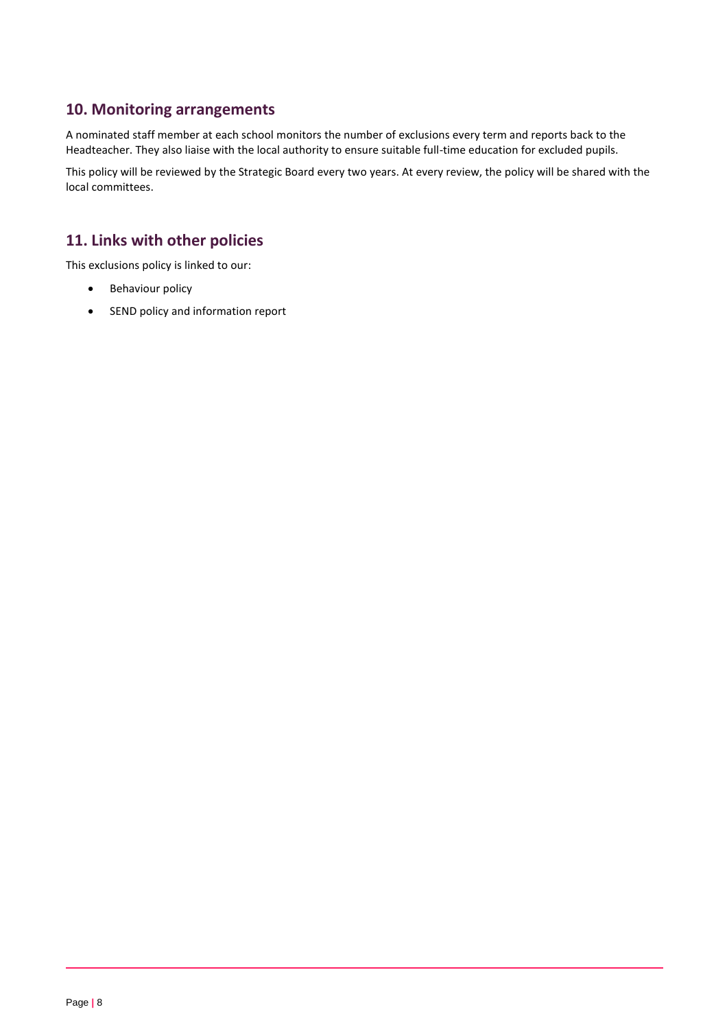# **10. Monitoring arrangements**

A nominated staff member at each school monitors the number of exclusions every term and reports back to the Headteacher. They also liaise with the local authority to ensure suitable full-time education for excluded pupils.

This policy will be reviewed by the Strategic Board every two years. At every review, the policy will be shared with the local committees.

# **11. Links with other policies**

This exclusions policy is linked to our:

- Behaviour policy
- SEND policy and information report